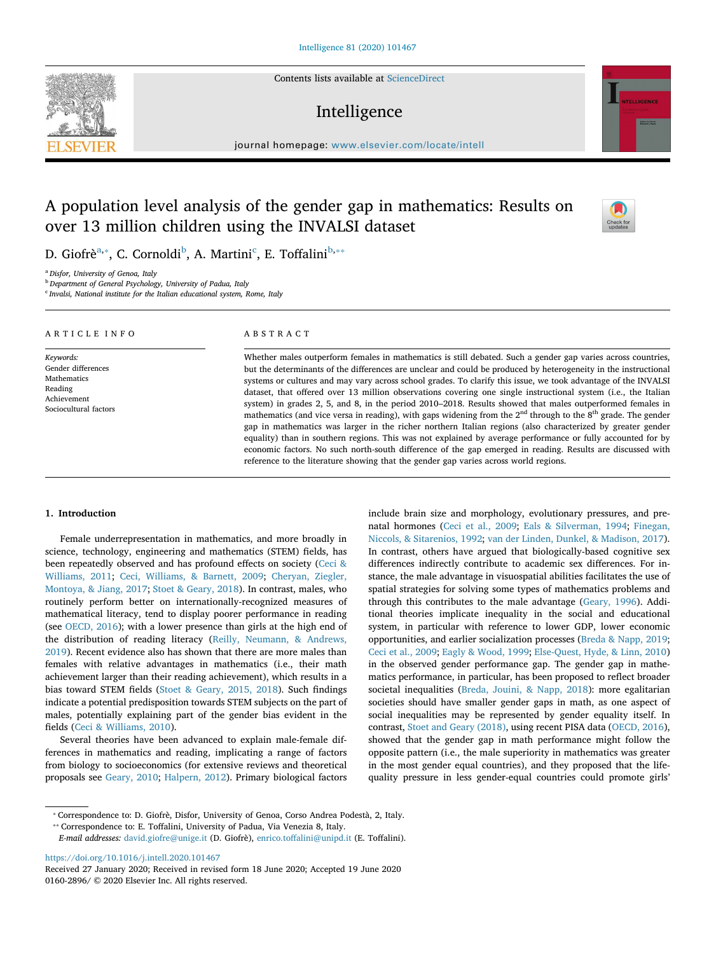Contents lists available at ScienceDirect

# Intelligence

journal homepage: www.elsevier.com/locate/intell

# A population level analysis of the gender gap in mathematics: Results on over 13 million children using the INVALSI dataset

D. Giofrè<sup>a,</sup>\*, C. Cornoldi<sup>b</sup>, A. Martini<sup>c</sup>, E. Toffalini<sup>b,</sup>\*\*

<sup>a</sup> Disfor, University of Genoa, Italy

<sup>b</sup> Department of General Psychology, University of Padua, Italy

<sup>c</sup> Invalsi, National institute for the Italian educational system, Rome, Italy

#### ARTICLE INFO Keywords: Gender differences Mathematics Reading Achievement Sociocultural factors ABSTRACT Whether males outperform females in mathematics is still debated. Such a gender gap varies across countries, but the determinants of the differences are unclear and could be produced by heterogeneity in the instructional systems or cultures and may vary across school grades. To clarify this issue, we took advantage of the INVALSI dataset, that offered over 13 million observations covering one single instructional system (i.e., the Italian system) in grades 2, 5, and 8, in the period 2010–2018. Results showed that males outperformed females in mathematics (and vice versa in reading), with gaps widening from the  $2<sup>nd</sup>$  through to the  $8<sup>th</sup>$  grade. The gender gap in mathematics was larger in the richer northern Italian regions (also characterized by greater gender equality) than in southern regions. This was not explained by average performance or fully accounted for by

## 1. Introduction

Female underrepresentation in mathematics, and more broadly in science, technology, engineering and mathematics (STEM) fields, has been repeatedly observed and has profound effects on society (Ceci & Williams, 2011; Ceci, Williams, & Barnett, 2009; Cheryan, Ziegler, Montoya, & Jiang, 2017; Stoet & Geary, 2018). In contrast, males, who routinely perform better on internationally-recognized measures of mathematical literacy, tend to display poorer performance in reading (see OECD, 2016); with a lower presence than girls at the high end of the distribution of reading literacy (Reilly, Neumann, & Andrews, 2019). Recent evidence also has shown that there are more males than females with relative advantages in mathematics (i.e., their math achievement larger than their reading achievement), which results in a bias toward STEM fields (Stoet & Geary, 2015, 2018). Such findings indicate a potential predisposition towards STEM subjects on the part of males, potentially explaining part of the gender bias evident in the fields (Ceci & Williams, 2010).

Several theories have been advanced to explain male-female differences in mathematics and reading, implicating a range of factors from biology to socioeconomics (for extensive reviews and theoretical proposals see Geary, 2010; Halpern, 2012). Primary biological factors include brain size and morphology, evolutionary pressures, and prenatal hormones (Ceci et al., 2009; Eals & Silverman, 1994; Finegan, Niccols, & Sitarenios, 1992; van der Linden, Dunkel, & Madison, 2017). In contrast, others have argued that biologically-based cognitive sex differences indirectly contribute to academic sex differences. For instance, the male advantage in visuospatial abilities facilitates the use of spatial strategies for solving some types of mathematics problems and through this contributes to the male advantage (Geary, 1996). Additional theories implicate inequality in the social and educational system, in particular with reference to lower GDP, lower economic opportunities, and earlier socialization processes (Breda & Napp, 2019; Ceci et al., 2009; Eagly & Wood, 1999; Else-Quest, Hyde, & Linn, 2010) in the observed gender performance gap. The gender gap in mathematics performance, in particular, has been proposed to reflect broader societal inequalities (Breda, Jouini, & Napp, 2018): more egalitarian societies should have smaller gender gaps in math, as one aspect of social inequalities may be represented by gender equality itself. In contrast, Stoet and Geary (2018), using recent PISA data (OECD, 2016), showed that the gender gap in math performance might follow the opposite pattern (i.e., the male superiority in mathematics was greater in the most gender equal countries), and they proposed that the lifequality pressure in less gender-equal countries could promote girls'

economic factors. No such north-south difference of the gap emerged in reading. Results are discussed with

reference to the literature showing that the gender gap varies across world regions.

⁎⁎ Correspondence to: E. Toffalini, University of Padua, Via Venezia 8, Italy.

E-mail addresses: david.giofre@unige.it (D. Giofrè), enrico.toffalini@unipd.it (E. Toffalini).

https://doi.org/10.1016/j.intell.2020.101467





 $\frac{N}{2}$ 

<sup>⁎</sup> Correspondence to: D. Giofrè, Disfor, University of Genoa, Corso Andrea Podestà, 2, Italy.

Received 27 January 2020; Received in revised form 18 June 2020; Accepted 19 June 2020 0160-2896/ © 2020 Elsevier Inc. All rights reserved.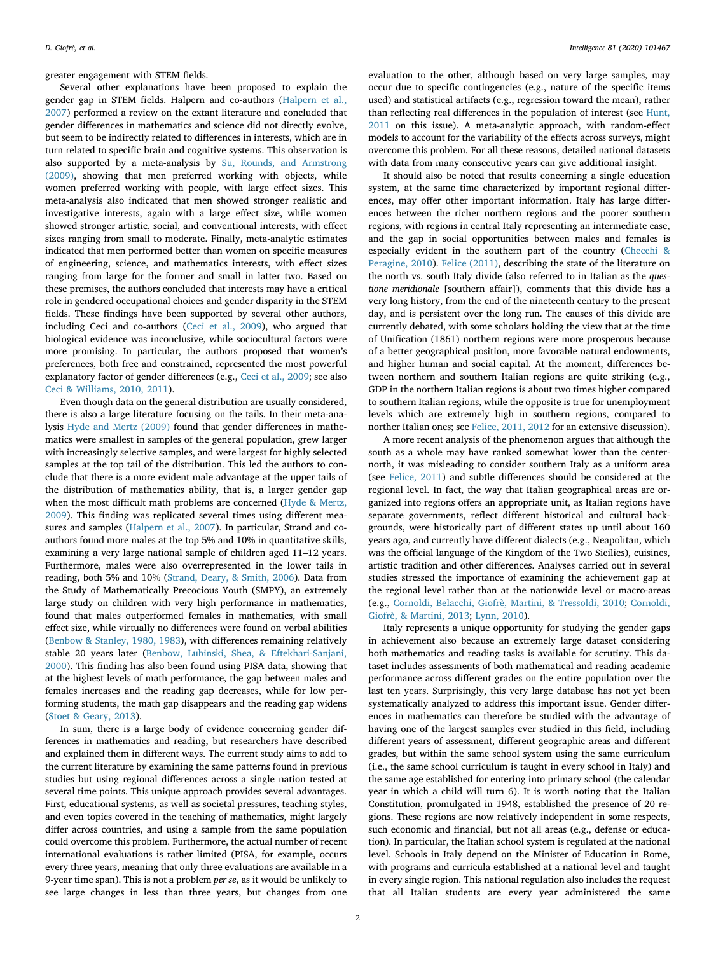greater engagement with STEM fields.

Several other explanations have been proposed to explain the gender gap in STEM fields. Halpern and co-authors (Halpern et al., 2007) performed a review on the extant literature and concluded that gender differences in mathematics and science did not directly evolve, but seem to be indirectly related to differences in interests, which are in turn related to specific brain and cognitive systems. This observation is also supported by a meta-analysis by Su, Rounds, and Armstrong (2009), showing that men preferred working with objects, while women preferred working with people, with large effect sizes. This meta-analysis also indicated that men showed stronger realistic and investigative interests, again with a large effect size, while women showed stronger artistic, social, and conventional interests, with effect sizes ranging from small to moderate. Finally, meta-analytic estimates indicated that men performed better than women on specific measures of engineering, science, and mathematics interests, with effect sizes ranging from large for the former and small in latter two. Based on these premises, the authors concluded that interests may have a critical role in gendered occupational choices and gender disparity in the STEM fields. These findings have been supported by several other authors, including Ceci and co-authors (Ceci et al., 2009), who argued that biological evidence was inconclusive, while sociocultural factors were more promising. In particular, the authors proposed that women's preferences, both free and constrained, represented the most powerful explanatory factor of gender differences (e.g., Ceci et al., 2009; see also Ceci & Williams, 2010, 2011).

Even though data on the general distribution are usually considered, there is also a large literature focusing on the tails. In their meta-analysis Hyde and Mertz (2009) found that gender differences in mathematics were smallest in samples of the general population, grew larger with increasingly selective samples, and were largest for highly selected samples at the top tail of the distribution. This led the authors to conclude that there is a more evident male advantage at the upper tails of the distribution of mathematics ability, that is, a larger gender gap when the most difficult math problems are concerned (Hyde & Mertz, 2009). This finding was replicated several times using different measures and samples (Halpern et al., 2007). In particular, Strand and coauthors found more males at the top 5% and 10% in quantitative skills, examining a very large national sample of children aged 11–12 years. Furthermore, males were also overrepresented in the lower tails in reading, both 5% and 10% (Strand, Deary, & Smith, 2006). Data from the Study of Mathematically Precocious Youth (SMPY), an extremely large study on children with very high performance in mathematics, found that males outperformed females in mathematics, with small effect size, while virtually no differences were found on verbal abilities (Benbow & Stanley, 1980, 1983), with differences remaining relatively stable 20 years later (Benbow, Lubinski, Shea, & Eftekhari-Sanjani, 2000). This finding has also been found using PISA data, showing that at the highest levels of math performance, the gap between males and females increases and the reading gap decreases, while for low performing students, the math gap disappears and the reading gap widens (Stoet & Geary, 2013).

In sum, there is a large body of evidence concerning gender differences in mathematics and reading, but researchers have described and explained them in different ways. The current study aims to add to the current literature by examining the same patterns found in previous studies but using regional differences across a single nation tested at several time points. This unique approach provides several advantages. First, educational systems, as well as societal pressures, teaching styles, and even topics covered in the teaching of mathematics, might largely differ across countries, and using a sample from the same population could overcome this problem. Furthermore, the actual number of recent international evaluations is rather limited (PISA, for example, occurs every three years, meaning that only three evaluations are available in a 9-year time span). This is not a problem per se, as it would be unlikely to see large changes in less than three years, but changes from one

evaluation to the other, although based on very large samples, may occur due to specific contingencies (e.g., nature of the specific items used) and statistical artifacts (e.g., regression toward the mean), rather than reflecting real differences in the population of interest (see Hunt, 2011 on this issue). A meta-analytic approach, with random-effect models to account for the variability of the effects across surveys, might overcome this problem. For all these reasons, detailed national datasets with data from many consecutive years can give additional insight.

It should also be noted that results concerning a single education system, at the same time characterized by important regional differences, may offer other important information. Italy has large differences between the richer northern regions and the poorer southern regions, with regions in central Italy representing an intermediate case, and the gap in social opportunities between males and females is especially evident in the southern part of the country (Checchi & Peragine, 2010). Felice (2011), describing the state of the literature on the north vs. south Italy divide (also referred to in Italian as the questione meridionale [southern affair]), comments that this divide has a very long history, from the end of the nineteenth century to the present day, and is persistent over the long run. The causes of this divide are currently debated, with some scholars holding the view that at the time of Unification (1861) northern regions were more prosperous because of a better geographical position, more favorable natural endowments, and higher human and social capital. At the moment, differences between northern and southern Italian regions are quite striking (e.g., GDP in the northern Italian regions is about two times higher compared to southern Italian regions, while the opposite is true for unemployment levels which are extremely high in southern regions, compared to norther Italian ones; see Felice, 2011, 2012 for an extensive discussion).

A more recent analysis of the phenomenon argues that although the south as a whole may have ranked somewhat lower than the centernorth, it was misleading to consider southern Italy as a uniform area (see Felice, 2011) and subtle differences should be considered at the regional level. In fact, the way that Italian geographical areas are organized into regions offers an appropriate unit, as Italian regions have separate governments, reflect different historical and cultural backgrounds, were historically part of different states up until about 160 years ago, and currently have different dialects (e.g., Neapolitan, which was the official language of the Kingdom of the Two Sicilies), cuisines, artistic tradition and other differences. Analyses carried out in several studies stressed the importance of examining the achievement gap at the regional level rather than at the nationwide level or macro-areas (e.g., Cornoldi, Belacchi, Giofrè, Martini, & Tressoldi, 2010; Cornoldi, Giofrè, & Martini, 2013; Lynn, 2010).

Italy represents a unique opportunity for studying the gender gaps in achievement also because an extremely large dataset considering both mathematics and reading tasks is available for scrutiny. This dataset includes assessments of both mathematical and reading academic performance across different grades on the entire population over the last ten years. Surprisingly, this very large database has not yet been systematically analyzed to address this important issue. Gender differences in mathematics can therefore be studied with the advantage of having one of the largest samples ever studied in this field, including different years of assessment, different geographic areas and different grades, but within the same school system using the same curriculum (i.e., the same school curriculum is taught in every school in Italy) and the same age established for entering into primary school (the calendar year in which a child will turn 6). It is worth noting that the Italian Constitution, promulgated in 1948, established the presence of 20 regions. These regions are now relatively independent in some respects, such economic and financial, but not all areas (e.g., defense or education). In particular, the Italian school system is regulated at the national level. Schools in Italy depend on the Minister of Education in Rome, with programs and curricula established at a national level and taught in every single region. This national regulation also includes the request that all Italian students are every year administered the same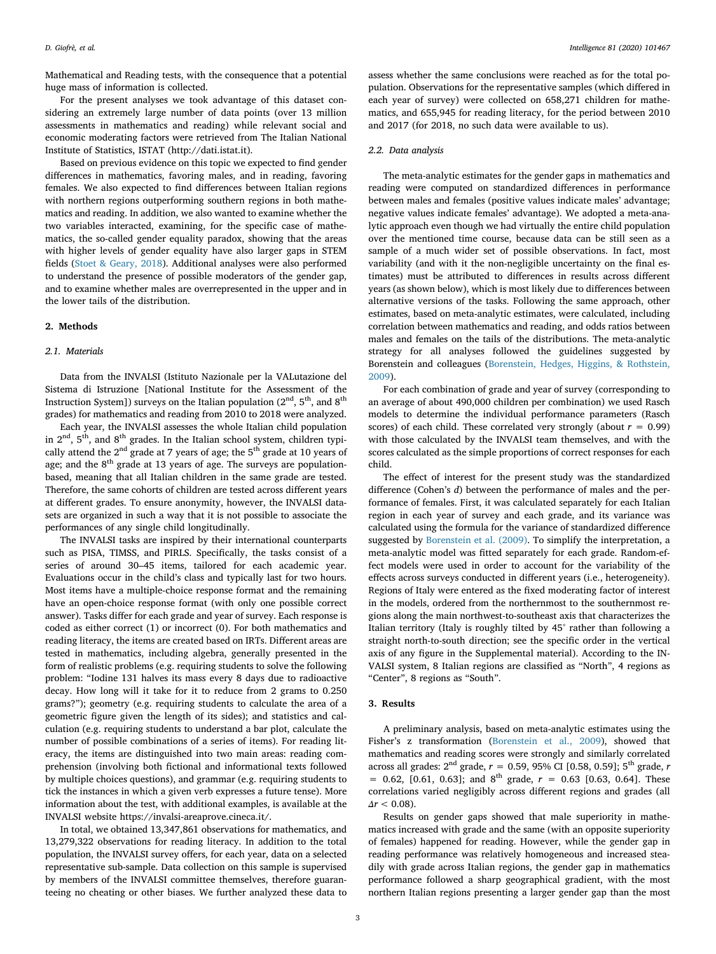Mathematical and Reading tests, with the consequence that a potential huge mass of information is collected.

For the present analyses we took advantage of this dataset considering an extremely large number of data points (over 13 million assessments in mathematics and reading) while relevant social and economic moderating factors were retrieved from The Italian National Institute of Statistics, ISTAT (http://dati.istat.it).

Based on previous evidence on this topic we expected to find gender differences in mathematics, favoring males, and in reading, favoring females. We also expected to find differences between Italian regions with northern regions outperforming southern regions in both mathematics and reading. In addition, we also wanted to examine whether the two variables interacted, examining, for the specific case of mathematics, the so-called gender equality paradox, showing that the areas with higher levels of gender equality have also larger gaps in STEM fields (Stoet & Geary, 2018). Additional analyses were also performed to understand the presence of possible moderators of the gender gap, and to examine whether males are overrepresented in the upper and in the lower tails of the distribution.

### 2. Methods

#### 2.1. Materials

Data from the INVALSI (Istituto Nazionale per la VALutazione del Sistema di Istruzione [National Institute for the Assessment of the Instruction System]) surveys on the Italian population ( $2<sup>nd</sup>$ ,  $5<sup>th</sup>$ , and  $8<sup>th</sup>$ grades) for mathematics and reading from 2010 to 2018 were analyzed.

Each year, the INVALSI assesses the whole Italian child population in  $2<sup>nd</sup>$ ,  $5<sup>th</sup>$ , and  $8<sup>th</sup>$  grades. In the Italian school system, children typically attend the  $2^{\rm nd}$  grade at 7 years of age; the  $5^{\rm th}$  grade at 10 years of age; and the  $8<sup>th</sup>$  grade at 13 years of age. The surveys are populationbased, meaning that all Italian children in the same grade are tested. Therefore, the same cohorts of children are tested across different years at different grades. To ensure anonymity, however, the INVALSI datasets are organized in such a way that it is not possible to associate the performances of any single child longitudinally.

The INVALSI tasks are inspired by their international counterparts such as PISA, TIMSS, and PIRLS. Specifically, the tasks consist of a series of around 30–45 items, tailored for each academic year. Evaluations occur in the child's class and typically last for two hours. Most items have a multiple-choice response format and the remaining have an open-choice response format (with only one possible correct answer). Tasks differ for each grade and year of survey. Each response is coded as either correct (1) or incorrect (0). For both mathematics and reading literacy, the items are created based on IRTs. Different areas are tested in mathematics, including algebra, generally presented in the form of realistic problems (e.g. requiring students to solve the following problem: "Iodine 131 halves its mass every 8 days due to radioactive decay. How long will it take for it to reduce from 2 grams to 0.250 grams?"); geometry (e.g. requiring students to calculate the area of a geometric figure given the length of its sides); and statistics and calculation (e.g. requiring students to understand a bar plot, calculate the number of possible combinations of a series of items). For reading literacy, the items are distinguished into two main areas: reading comprehension (involving both fictional and informational texts followed by multiple choices questions), and grammar (e.g. requiring students to tick the instances in which a given verb expresses a future tense). More information about the test, with additional examples, is available at the INVALSI website https://invalsi-areaprove.cineca.it/.

In total, we obtained 13,347,861 observations for mathematics, and 13,279,322 observations for reading literacy. In addition to the total population, the INVALSI survey offers, for each year, data on a selected representative sub-sample. Data collection on this sample is supervised by members of the INVALSI committee themselves, therefore guaranteeing no cheating or other biases. We further analyzed these data to

assess whether the same conclusions were reached as for the total population. Observations for the representative samples (which differed in each year of survey) were collected on 658,271 children for mathematics, and 655,945 for reading literacy, for the period between 2010 and 2017 (for 2018, no such data were available to us).

### 2.2. Data analysis

The meta-analytic estimates for the gender gaps in mathematics and reading were computed on standardized differences in performance between males and females (positive values indicate males' advantage; negative values indicate females' advantage). We adopted a meta-analytic approach even though we had virtually the entire child population over the mentioned time course, because data can be still seen as a sample of a much wider set of possible observations. In fact, most variability (and with it the non-negligible uncertainty on the final estimates) must be attributed to differences in results across different years (as shown below), which is most likely due to differences between alternative versions of the tasks. Following the same approach, other estimates, based on meta-analytic estimates, were calculated, including correlation between mathematics and reading, and odds ratios between males and females on the tails of the distributions. The meta-analytic strategy for all analyses followed the guidelines suggested by Borenstein and colleagues (Borenstein, Hedges, Higgins, & Rothstein, 2009).

For each combination of grade and year of survey (corresponding to an average of about 490,000 children per combination) we used Rasch models to determine the individual performance parameters (Rasch scores) of each child. These correlated very strongly (about  $r = 0.99$ ) with those calculated by the INVALSI team themselves, and with the scores calculated as the simple proportions of correct responses for each child.

The effect of interest for the present study was the standardized difference (Cohen's d) between the performance of males and the performance of females. First, it was calculated separately for each Italian region in each year of survey and each grade, and its variance was calculated using the formula for the variance of standardized difference suggested by Borenstein et al. (2009). To simplify the interpretation, a meta-analytic model was fitted separately for each grade. Random-effect models were used in order to account for the variability of the effects across surveys conducted in different years (i.e., heterogeneity). Regions of Italy were entered as the fixed moderating factor of interest in the models, ordered from the northernmost to the southernmost regions along the main northwest-to-southeast axis that characterizes the Italian territory (Italy is roughly tilted by 45° rather than following a straight north-to-south direction; see the specific order in the vertical axis of any figure in the Supplemental material). According to the IN-VALSI system, 8 Italian regions are classified as "North", 4 regions as "Center", 8 regions as "South".

### 3. Results

A preliminary analysis, based on meta-analytic estimates using the Fisher's z transformation (Borenstein et al., 2009), showed that mathematics and reading scores were strongly and similarly correlated across all grades:  $2^{nd}$  grade,  $r = 0.59$ , 95% CI [0.58, 0.59]; 5<sup>th</sup> grade, r  $= 0.62, [0.61, 0.63]$ ; and  $8^{th}$  grade,  $r = 0.63$  [0.63, 0.64]. These correlations varied negligibly across different regions and grades (all  $\Delta r < 0.08$ ).

Results on gender gaps showed that male superiority in mathematics increased with grade and the same (with an opposite superiority of females) happened for reading. However, while the gender gap in reading performance was relatively homogeneous and increased steadily with grade across Italian regions, the gender gap in mathematics performance followed a sharp geographical gradient, with the most northern Italian regions presenting a larger gender gap than the most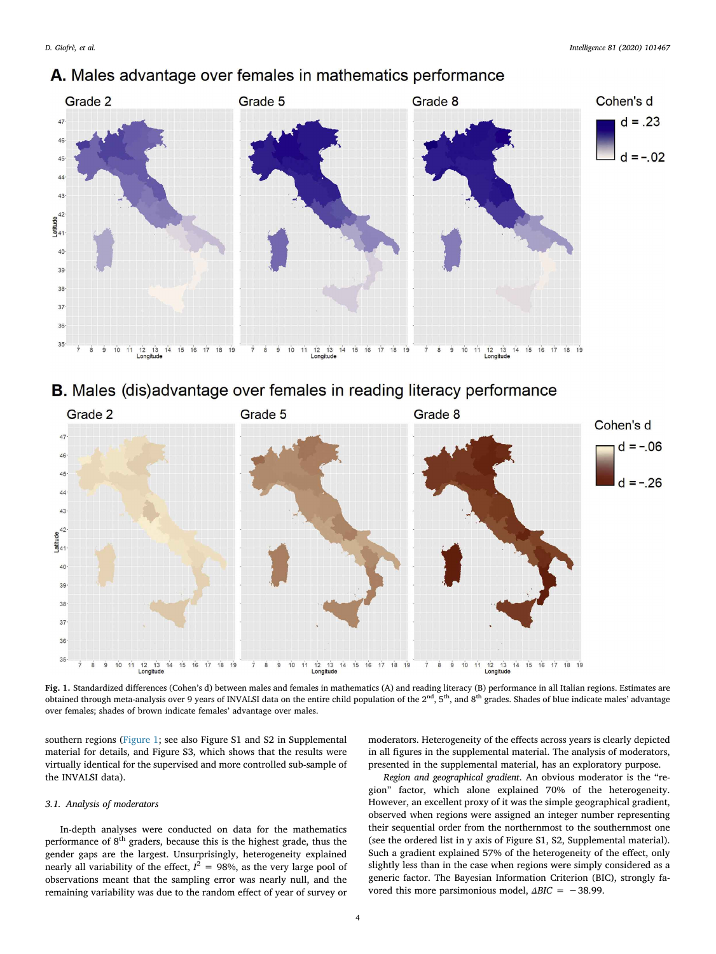

## A. Males advantage over females in mathematics performance





Fig. 1. Standardized differences (Cohen's d) between males and females in mathematics (A) and reading literacy (B) performance in all Italian regions. Estimates are obtained through meta-analysis over 9 years of INVALSI data on the entire child population of the 2<sup>nd</sup>, 5<sup>th</sup>, and 8<sup>th</sup> grades. Shades of blue indicate males' advantage over females; shades of brown indicate females' advantage over males.

southern regions (Figure 1; see also Figure S1 and S2 in Supplemental material for details, and Figure S3, which shows that the results were virtually identical for the supervised and more controlled sub-sample of the INVALSI data).

## 3.1. Analysis of moderators

In-depth analyses were conducted on data for the mathematics performance of  $8<sup>th</sup>$  graders, because this is the highest grade, thus the gender gaps are the largest. Unsurprisingly, heterogeneity explained nearly all variability of the effect,  $I^2 = 98%$ , as the very large pool of observations meant that the sampling error was nearly null, and the remaining variability was due to the random effect of year of survey or moderators. Heterogeneity of the effects across years is clearly depicted in all figures in the supplemental material. The analysis of moderators, presented in the supplemental material, has an exploratory purpose.

Region and geographical gradient. An obvious moderator is the "region" factor, which alone explained 70% of the heterogeneity. However, an excellent proxy of it was the simple geographical gradient, observed when regions were assigned an integer number representing their sequential order from the northernmost to the southernmost one (see the ordered list in y axis of Figure S1, S2, Supplemental material). Such a gradient explained 57% of the heterogeneity of the effect, only slightly less than in the case when regions were simply considered as a generic factor. The Bayesian Information Criterion (BIC), strongly favored this more parsimonious model,  $\triangle BIC = -38.99$ .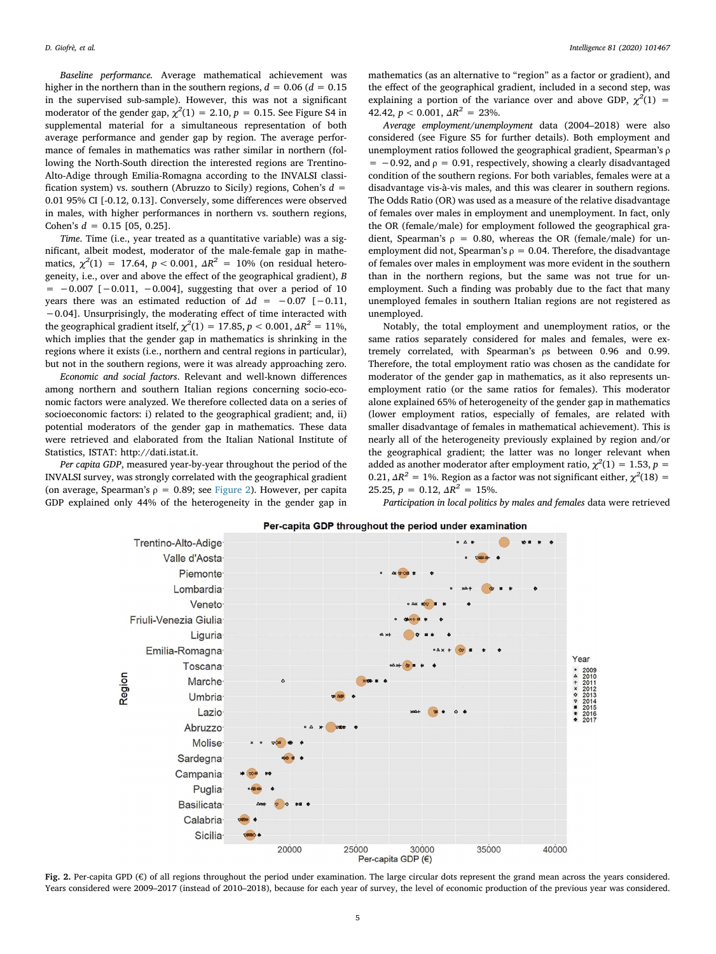Baseline performance. Average mathematical achievement was higher in the northern than in the southern regions,  $d = 0.06$  ( $d = 0.15$ ) in the supervised sub-sample). However, this was not a significant moderator of the gender gap,  $\chi^2(1) = 2.10$ ,  $p = 0.15$ . See Figure S4 in supplemental material for a simultaneous representation of both average performance and gender gap by region. The average performance of females in mathematics was rather similar in northern (following the North-South direction the interested regions are Trentino-Alto-Adige through Emilia-Romagna according to the INVALSI classification system) vs. southern (Abruzzo to Sicily) regions, Cohen's  $d =$ 0.01 95% CI [-0.12, 0.13]. Conversely, some differences were observed in males, with higher performances in northern vs. southern regions, Cohen's  $d = 0.15$  [05, 0.25].

Time. Time (i.e., year treated as a quantitative variable) was a significant, albeit modest, moderator of the male-female gap in mathematics,  $\chi^2(1) = 17.64$ ,  $p < 0.001$ ,  $\Delta R^2 = 10\%$  (on residual heterogeneity, i.e., over and above the effect of the geographical gradient), B  $= -0.007$  [ $-0.011$ ,  $-0.004$ ], suggesting that over a period of 10 years there was an estimated reduction of  $\Delta d = -0.07$  [-0.11, −0.04]. Unsurprisingly, the moderating effect of time interacted with the geographical gradient itself,  $\chi^2(1)=17.85, p < 0.001, \varDelta R^2=11\% ,$ which implies that the gender gap in mathematics is shrinking in the regions where it exists (i.e., northern and central regions in particular), but not in the southern regions, were it was already approaching zero.

Economic and social factors. Relevant and well-known differences among northern and southern Italian regions concerning socio-economic factors were analyzed. We therefore collected data on a series of socioeconomic factors: i) related to the geographical gradient; and, ii) potential moderators of the gender gap in mathematics. These data were retrieved and elaborated from the Italian National Institute of Statistics, ISTAT: http://dati.istat.it.

Per capita GDP, measured year-by-year throughout the period of the INVALSI survey, was strongly correlated with the geographical gradient (on average, Spearman's  $\rho = 0.89$ ; see Figure 2). However, per capita GDP explained only 44% of the heterogeneity in the gender gap in

mathematics (as an alternative to "region" as a factor or gradient), and the effect of the geographical gradient, included in a second step, was explaining a portion of the variance over and above GDP,  $\chi^2(1)$  = 42.42,  $p < 0.001$ ,  $\Delta R^2 = 23\%$ .

Average employment/unemployment data (2004–2018) were also considered (see Figure S5 for further details). Both employment and unemployment ratios followed the geographical gradient, Spearman's ρ  $= -0.92$ , and  $\rho = 0.91$ , respectively, showing a clearly disadvantaged condition of the southern regions. For both variables, females were at a disadvantage vis-à-vis males, and this was clearer in southern regions. The Odds Ratio (OR) was used as a measure of the relative disadvantage of females over males in employment and unemployment. In fact, only the OR (female/male) for employment followed the geographical gradient, Spearman's  $\rho = 0.80$ , whereas the OR (female/male) for unemployment did not, Spearman's  $\rho = 0.04$ . Therefore, the disadvantage of females over males in employment was more evident in the southern than in the northern regions, but the same was not true for unemployment. Such a finding was probably due to the fact that many unemployed females in southern Italian regions are not registered as unemployed.

Notably, the total employment and unemployment ratios, or the same ratios separately considered for males and females, were extremely correlated, with Spearman's ρs between 0.96 and 0.99. Therefore, the total employment ratio was chosen as the candidate for moderator of the gender gap in mathematics, as it also represents unemployment ratio (or the same ratios for females). This moderator alone explained 65% of heterogeneity of the gender gap in mathematics (lower employment ratios, especially of females, are related with smaller disadvantage of females in mathematical achievement). This is nearly all of the heterogeneity previously explained by region and/or the geographical gradient; the latter was no longer relevant when added as another moderator after employment ratio,  $\chi^2(1) = 1.53$ ,  $p =$ 0.21,  $\Delta R^2 = 1\%$ . Region as a factor was not significant either,  $\chi^2(18) =$ 25.25,  $p = 0.12$ ,  $\Delta R^2 = 15\%$ .

Participation in local politics by males and females data were retrieved



Per-capita GDP throughout the period under examination

Fig. 2. Per-capita GPD (€) of all regions throughout the period under examination. The large circular dots represent the grand mean across the years considered. Years considered were 2009–2017 (instead of 2010–2018), because for each year of survey, the level of economic production of the previous year was considered.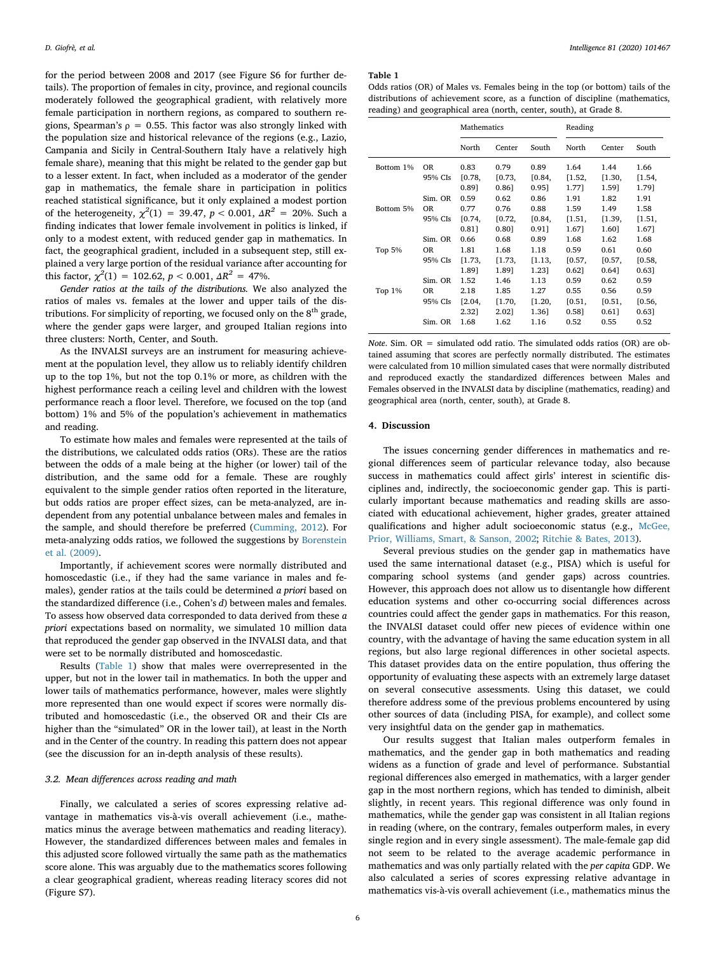for the period between 2008 and 2017 (see Figure S6 for further details). The proportion of females in city, province, and regional councils moderately followed the geographical gradient, with relatively more female participation in northern regions, as compared to southern regions, Spearman's  $\rho = 0.55$ . This factor was also strongly linked with the population size and historical relevance of the regions (e.g., Lazio, Campania and Sicily in Central-Southern Italy have a relatively high female share), meaning that this might be related to the gender gap but to a lesser extent. In fact, when included as a moderator of the gender gap in mathematics, the female share in participation in politics reached statistical significance, but it only explained a modest portion of the heterogeneity,  $\chi^2(1) = 39.47$ ,  $p < 0.001$ ,  $\Delta R^2 = 20$ %. Such a finding indicates that lower female involvement in politics is linked, if only to a modest extent, with reduced gender gap in mathematics. In fact, the geographical gradient, included in a subsequent step, still explained a very large portion of the residual variance after accounting for this factor,  $\chi^2(1) = 102.62$ ,  $p < 0.001$ ,  $\Delta R^2 = 47$ %.

Gender ratios at the tails of the distributions. We also analyzed the ratios of males vs. females at the lower and upper tails of the distributions. For simplicity of reporting, we focused only on the  $8<sup>th</sup>$  grade, where the gender gaps were larger, and grouped Italian regions into three clusters: North, Center, and South.

As the INVALSI surveys are an instrument for measuring achievement at the population level, they allow us to reliably identify children up to the top 1%, but not the top 0.1% or more, as children with the highest performance reach a ceiling level and children with the lowest performance reach a floor level. Therefore, we focused on the top (and bottom) 1% and 5% of the population's achievement in mathematics and reading.

To estimate how males and females were represented at the tails of the distributions, we calculated odds ratios (ORs). These are the ratios between the odds of a male being at the higher (or lower) tail of the distribution, and the same odd for a female. These are roughly equivalent to the simple gender ratios often reported in the literature, but odds ratios are proper effect sizes, can be meta-analyzed, are independent from any potential unbalance between males and females in the sample, and should therefore be preferred (Cumming, 2012). For meta-analyzing odds ratios, we followed the suggestions by Borenstein et al. (2009).

Importantly, if achievement scores were normally distributed and homoscedastic (i.e., if they had the same variance in males and females), gender ratios at the tails could be determined a priori based on the standardized difference (i.e., Cohen's d) between males and females. To assess how observed data corresponded to data derived from these a priori expectations based on normality, we simulated 10 million data that reproduced the gender gap observed in the INVALSI data, and that were set to be normally distributed and homoscedastic.

Results (Table 1) show that males were overrepresented in the upper, but not in the lower tail in mathematics. In both the upper and lower tails of mathematics performance, however, males were slightly more represented than one would expect if scores were normally distributed and homoscedastic (i.e., the observed OR and their CIs are higher than the "simulated" OR in the lower tail), at least in the North and in the Center of the country. In reading this pattern does not appear (see the discussion for an in-depth analysis of these results).

## 3.2. Mean differences across reading and math

Finally, we calculated a series of scores expressing relative advantage in mathematics vis-à-vis overall achievement (i.e., mathematics minus the average between mathematics and reading literacy). However, the standardized differences between males and females in this adjusted score followed virtually the same path as the mathematics score alone. This was arguably due to the mathematics scores following a clear geographical gradient, whereas reading literacy scores did not (Figure S7).

#### Table 1

Odds ratios (OR) of Males vs. Females being in the top (or bottom) tails of the distributions of achievement score, as a function of discipline (mathematics, reading) and geographical area (north, center, south), at Grade 8.

|           |                      | Mathematics    |                |                | Reading        |                |                |
|-----------|----------------------|----------------|----------------|----------------|----------------|----------------|----------------|
|           |                      | North          | Center         | South          | North          | Center         | South          |
| Bottom 1% | <b>OR</b><br>95% CIs | 0.83<br>[0.78, | 0.79<br>[0.73, | 0.89<br>[0.84, | 1.64<br>[1.52, | 1.44<br>[1.30, | 1.66<br>[1.54, |
|           |                      | 0.891          | $0.86$ ]       | 0.951          | 1.771          | 1.59]          | 1.791          |
|           | Sim. OR              | 0.59           | 0.62           | 0.86           | 1.91           | 1.82           | 1.91           |
| Bottom 5% | 0R                   | 0.77           | 0.76           | 0.88           | 1.59           | 1.49           | 1.58           |
|           | 95% CIs              | [0.74,         | [0.72,         | [0.84,         | [1.51,         | [1.39,         | [1.51,         |
|           |                      | 0.811          | 0.801          | 0.911          | 1.671          | 1.60]          | 1.67]          |
|           | Sim. OR              | 0.66           | 0.68           | 0.89           | 1.68           | 1.62           | 1.68           |
| Top 5%    | 0R                   | 1.81           | 1.68           | 1.18           | 0.59           | 0.61           | 0.60           |
|           | 95% CIs              | [1.73,         | [1.73,         | [1.13,         | [0.57,         | [0.57,         | [0.58,         |
|           |                      | 1.891          | 1.891          | 1.23]          | 0.62]          | 0.64]          | 0.631          |
|           | Sim. OR              | 1.52           | 1.46           | 1.13           | 0.59           | 0.62           | 0.59           |
| Top 1%    | 0R                   | 2.18           | 1.85           | 1.27           | 0.55           | 0.56           | 0.59           |
|           | 95% CIs              | [2.04,         | [1.70,         | [1.20,         | [0.51,         | [0.51,         | [0.56,         |
|           |                      | 2.32]          | 2.021          | 1.36]          | 0.581          | $0.61$ ]       | 0.631          |
|           | Sim. OR              | 1.68           | 1.62           | 1.16           | 0.52           | 0.55           | 0.52           |

Note. Sim.  $OR =$  simulated odd ratio. The simulated odds ratios (OR) are obtained assuming that scores are perfectly normally distributed. The estimates were calculated from 10 million simulated cases that were normally distributed and reproduced exactly the standardized differences between Males and Females observed in the INVALSI data by discipline (mathematics, reading) and geographical area (north, center, south), at Grade 8.

## 4. Discussion

The issues concerning gender differences in mathematics and regional differences seem of particular relevance today, also because success in mathematics could affect girls' interest in scientific disciplines and, indirectly, the socioeconomic gender gap. This is particularly important because mathematics and reading skills are associated with educational achievement, higher grades, greater attained qualifications and higher adult socioeconomic status (e.g., McGee, Prior, Williams, Smart, & Sanson, 2002; Ritchie & Bates, 2013).

Several previous studies on the gender gap in mathematics have used the same international dataset (e.g., PISA) which is useful for comparing school systems (and gender gaps) across countries. However, this approach does not allow us to disentangle how different education systems and other co-occurring social differences across countries could affect the gender gaps in mathematics. For this reason, the INVALSI dataset could offer new pieces of evidence within one country, with the advantage of having the same education system in all regions, but also large regional differences in other societal aspects. This dataset provides data on the entire population, thus offering the opportunity of evaluating these aspects with an extremely large dataset on several consecutive assessments. Using this dataset, we could therefore address some of the previous problems encountered by using other sources of data (including PISA, for example), and collect some very insightful data on the gender gap in mathematics.

Our results suggest that Italian males outperform females in mathematics, and the gender gap in both mathematics and reading widens as a function of grade and level of performance. Substantial regional differences also emerged in mathematics, with a larger gender gap in the most northern regions, which has tended to diminish, albeit slightly, in recent years. This regional difference was only found in mathematics, while the gender gap was consistent in all Italian regions in reading (where, on the contrary, females outperform males, in every single region and in every single assessment). The male-female gap did not seem to be related to the average academic performance in mathematics and was only partially related with the per capita GDP. We also calculated a series of scores expressing relative advantage in mathematics vis-à-vis overall achievement (i.e., mathematics minus the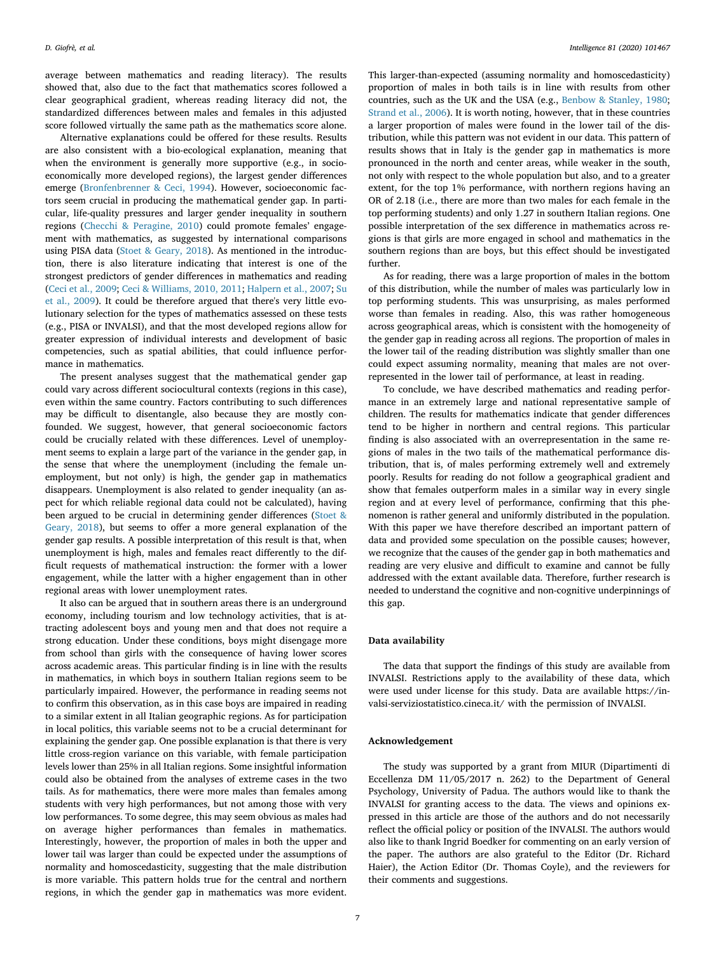average between mathematics and reading literacy). The results showed that, also due to the fact that mathematics scores followed a clear geographical gradient, whereas reading literacy did not, the standardized differences between males and females in this adjusted score followed virtually the same path as the mathematics score alone.

Alternative explanations could be offered for these results. Results are also consistent with a bio-ecological explanation, meaning that when the environment is generally more supportive (e.g., in socioeconomically more developed regions), the largest gender differences emerge (Bronfenbrenner & Ceci, 1994). However, socioeconomic factors seem crucial in producing the mathematical gender gap. In particular, life-quality pressures and larger gender inequality in southern regions (Checchi & Peragine, 2010) could promote females' engagement with mathematics, as suggested by international comparisons using PISA data (Stoet & Geary, 2018). As mentioned in the introduction, there is also literature indicating that interest is one of the strongest predictors of gender differences in mathematics and reading (Ceci et al., 2009; Ceci & Williams, 2010, 2011; Halpern et al., 2007; Su et al., 2009). It could be therefore argued that there's very little evolutionary selection for the types of mathematics assessed on these tests (e.g., PISA or INVALSI), and that the most developed regions allow for greater expression of individual interests and development of basic competencies, such as spatial abilities, that could influence performance in mathematics.

The present analyses suggest that the mathematical gender gap could vary across different sociocultural contexts (regions in this case), even within the same country. Factors contributing to such differences may be difficult to disentangle, also because they are mostly confounded. We suggest, however, that general socioeconomic factors could be crucially related with these differences. Level of unemployment seems to explain a large part of the variance in the gender gap, in the sense that where the unemployment (including the female unemployment, but not only) is high, the gender gap in mathematics disappears. Unemployment is also related to gender inequality (an aspect for which reliable regional data could not be calculated), having been argued to be crucial in determining gender differences (Stoet & Geary, 2018), but seems to offer a more general explanation of the gender gap results. A possible interpretation of this result is that, when unemployment is high, males and females react differently to the difficult requests of mathematical instruction: the former with a lower engagement, while the latter with a higher engagement than in other regional areas with lower unemployment rates.

It also can be argued that in southern areas there is an underground economy, including tourism and low technology activities, that is attracting adolescent boys and young men and that does not require a strong education. Under these conditions, boys might disengage more from school than girls with the consequence of having lower scores across academic areas. This particular finding is in line with the results in mathematics, in which boys in southern Italian regions seem to be particularly impaired. However, the performance in reading seems not to confirm this observation, as in this case boys are impaired in reading to a similar extent in all Italian geographic regions. As for participation in local politics, this variable seems not to be a crucial determinant for explaining the gender gap. One possible explanation is that there is very little cross-region variance on this variable, with female participation levels lower than 25% in all Italian regions. Some insightful information could also be obtained from the analyses of extreme cases in the two tails. As for mathematics, there were more males than females among students with very high performances, but not among those with very low performances. To some degree, this may seem obvious as males had on average higher performances than females in mathematics. Interestingly, however, the proportion of males in both the upper and lower tail was larger than could be expected under the assumptions of normality and homoscedasticity, suggesting that the male distribution is more variable. This pattern holds true for the central and northern regions, in which the gender gap in mathematics was more evident.

This larger-than-expected (assuming normality and homoscedasticity) proportion of males in both tails is in line with results from other countries, such as the UK and the USA (e.g., Benbow & Stanley, 1980; Strand et al., 2006). It is worth noting, however, that in these countries a larger proportion of males were found in the lower tail of the distribution, while this pattern was not evident in our data. This pattern of results shows that in Italy is the gender gap in mathematics is more pronounced in the north and center areas, while weaker in the south, not only with respect to the whole population but also, and to a greater extent, for the top 1% performance, with northern regions having an OR of 2.18 (i.e., there are more than two males for each female in the top performing students) and only 1.27 in southern Italian regions. One possible interpretation of the sex difference in mathematics across regions is that girls are more engaged in school and mathematics in the southern regions than are boys, but this effect should be investigated further.

As for reading, there was a large proportion of males in the bottom of this distribution, while the number of males was particularly low in top performing students. This was unsurprising, as males performed worse than females in reading. Also, this was rather homogeneous across geographical areas, which is consistent with the homogeneity of the gender gap in reading across all regions. The proportion of males in the lower tail of the reading distribution was slightly smaller than one could expect assuming normality, meaning that males are not overrepresented in the lower tail of performance, at least in reading.

To conclude, we have described mathematics and reading performance in an extremely large and national representative sample of children. The results for mathematics indicate that gender differences tend to be higher in northern and central regions. This particular finding is also associated with an overrepresentation in the same regions of males in the two tails of the mathematical performance distribution, that is, of males performing extremely well and extremely poorly. Results for reading do not follow a geographical gradient and show that females outperform males in a similar way in every single region and at every level of performance, confirming that this phenomenon is rather general and uniformly distributed in the population. With this paper we have therefore described an important pattern of data and provided some speculation on the possible causes; however, we recognize that the causes of the gender gap in both mathematics and reading are very elusive and difficult to examine and cannot be fully addressed with the extant available data. Therefore, further research is needed to understand the cognitive and non-cognitive underpinnings of this gap.

## Data availability

The data that support the findings of this study are available from INVALSI. Restrictions apply to the availability of these data, which were used under license for this study. Data are available https://invalsi-serviziostatistico.cineca.it/ with the permission of INVALSI.

## Acknowledgement

The study was supported by a grant from MIUR (Dipartimenti di Eccellenza DM 11/05/2017 n. 262) to the Department of General Psychology, University of Padua. The authors would like to thank the INVALSI for granting access to the data. The views and opinions expressed in this article are those of the authors and do not necessarily reflect the official policy or position of the INVALSI. The authors would also like to thank Ingrid Boedker for commenting on an early version of the paper. The authors are also grateful to the Editor (Dr. Richard Haier), the Action Editor (Dr. Thomas Coyle), and the reviewers for their comments and suggestions.